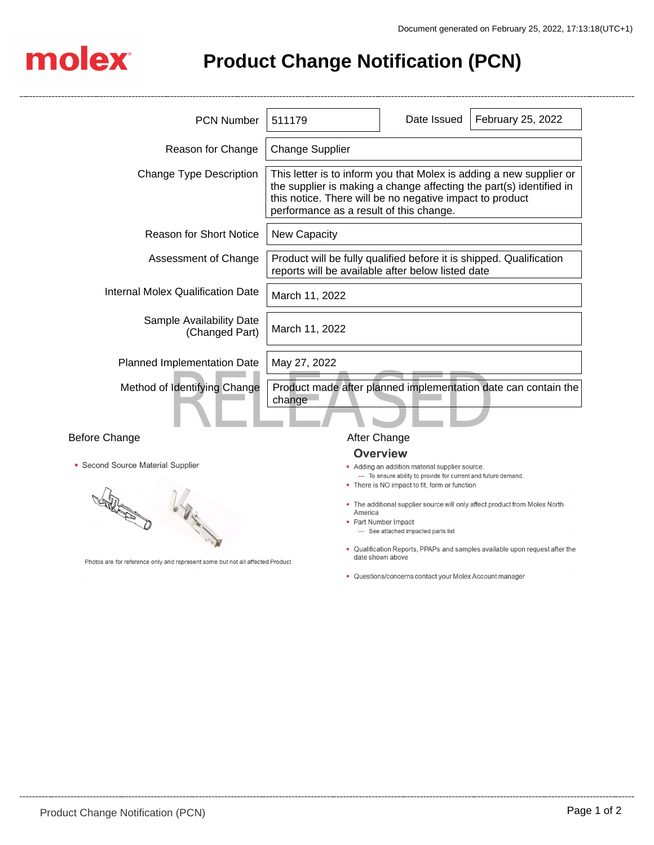

**Product Change Notification (PCN)**

| <b>PCN Number</b>                                                                                                                              | 511179                                                                                                                                                                                                                                            | Date Issued                                                                                                                                                                                                                                                                                                                      | February 25, 2022                                                                                                                                         |
|------------------------------------------------------------------------------------------------------------------------------------------------|---------------------------------------------------------------------------------------------------------------------------------------------------------------------------------------------------------------------------------------------------|----------------------------------------------------------------------------------------------------------------------------------------------------------------------------------------------------------------------------------------------------------------------------------------------------------------------------------|-----------------------------------------------------------------------------------------------------------------------------------------------------------|
| Reason for Change                                                                                                                              | <b>Change Supplier</b>                                                                                                                                                                                                                            |                                                                                                                                                                                                                                                                                                                                  |                                                                                                                                                           |
| <b>Change Type Description</b>                                                                                                                 | This letter is to inform you that Molex is adding a new supplier or<br>the supplier is making a change affecting the part(s) identified in<br>this notice. There will be no negative impact to product<br>performance as a result of this change. |                                                                                                                                                                                                                                                                                                                                  |                                                                                                                                                           |
| <b>Reason for Short Notice</b>                                                                                                                 | <b>New Capacity</b>                                                                                                                                                                                                                               |                                                                                                                                                                                                                                                                                                                                  |                                                                                                                                                           |
| Assessment of Change                                                                                                                           | Product will be fully qualified before it is shipped. Qualification<br>reports will be available after below listed date                                                                                                                          |                                                                                                                                                                                                                                                                                                                                  |                                                                                                                                                           |
| <b>Internal Molex Qualification Date</b>                                                                                                       | March 11, 2022                                                                                                                                                                                                                                    |                                                                                                                                                                                                                                                                                                                                  |                                                                                                                                                           |
| Sample Availability Date<br>(Changed Part)                                                                                                     | March 11, 2022                                                                                                                                                                                                                                    |                                                                                                                                                                                                                                                                                                                                  |                                                                                                                                                           |
| Planned Implementation Date                                                                                                                    | May 27, 2022                                                                                                                                                                                                                                      |                                                                                                                                                                                                                                                                                                                                  |                                                                                                                                                           |
| Method of Identifying Change                                                                                                                   | Product made after planned implementation date can contain the<br>change                                                                                                                                                                          |                                                                                                                                                                                                                                                                                                                                  |                                                                                                                                                           |
| <b>Before Change</b>                                                                                                                           | After Change                                                                                                                                                                                                                                      |                                                                                                                                                                                                                                                                                                                                  |                                                                                                                                                           |
| • Second Source Material Supplier<br><b>RATIONAL PROPERTY</b><br>Photos are for reference only and represent some but not all affected Product | America                                                                                                                                                                                                                                           | <b>Overview</b><br>• Adding an addition material supplier source.<br>- To ensure ability to provide for current and future demand.<br>• There is NO impact to fit, form or function<br>• Part Number Impact<br>- See attached impacted parts list<br>date shown above<br>• Questions/concerns contact your Molex Account manager | • The additional supplier source will only affect product from Molex North<br>• Qualification Reports, PPAPs and samples available upon request after the |
|                                                                                                                                                |                                                                                                                                                                                                                                                   |                                                                                                                                                                                                                                                                                                                                  |                                                                                                                                                           |